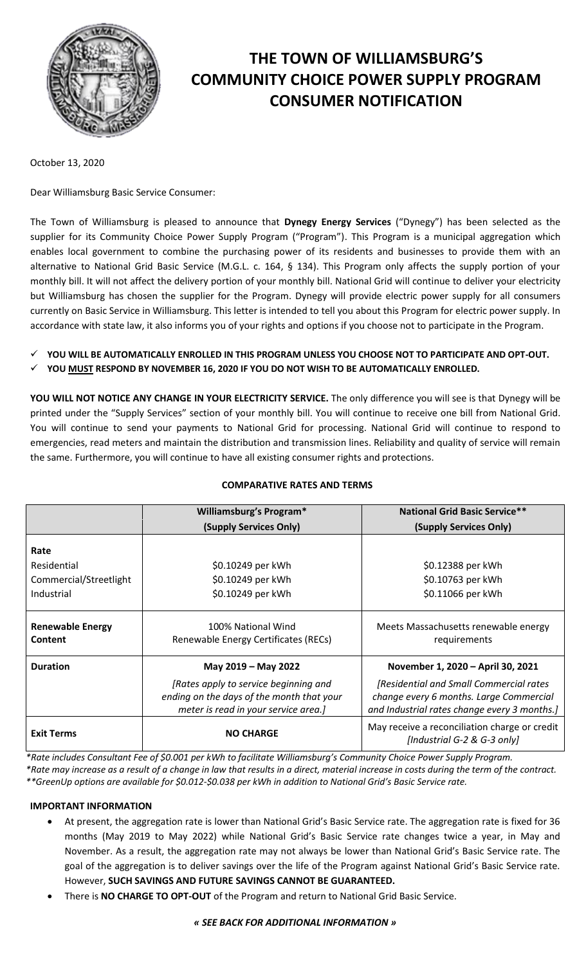

# **THE TOWN OF WILLIAMSBURG'S COMMUNITY CHOICE POWER SUPPLY PROGRAM CONSUMER NOTIFICATION**

October 13, 2020

Dear Williamsburg Basic Service Consumer:

The Town of Williamsburg is pleased to announce that **Dynegy Energy Services** ("Dynegy") has been selected as the supplier for its Community Choice Power Supply Program ("Program"). This Program is a municipal aggregation which enables local government to combine the purchasing power of its residents and businesses to provide them with an alternative to National Grid Basic Service (M.G.L. c. 164, § 134). This Program only affects the supply portion of your monthly bill. It will not affect the delivery portion of your monthly bill. National Grid will continue to deliver your electricity but Williamsburg has chosen the supplier for the Program. Dynegy will provide electric power supply for all consumers currently on Basic Service in Williamsburg. This letter is intended to tell you about this Program for electric power supply. In accordance with state law, it also informs you of your rights and options if you choose not to participate in the Program.

**YOU WILL BE AUTOMATICALLY ENROLLED IN THIS PROGRAM UNLESS YOU CHOOSE NOT TO PARTICIPATE AND OPT-OUT.** 

**YOU MUST RESPOND BY NOVEMBER 16, 2020 IF YOU DO NOT WISH TO BE AUTOMATICALLY ENROLLED.**

**YOU WILL NOT NOTICE ANY CHANGE IN YOUR ELECTRICITY SERVICE.** The only difference you will see is that Dynegy will be printed under the "Supply Services" section of your monthly bill. You will continue to receive one bill from National Grid. You will continue to send your payments to National Grid for processing. National Grid will continue to respond to emergencies, read meters and maintain the distribution and transmission lines. Reliability and quality of service will remain the same. Furthermore, you will continue to have all existing consumer rights and protections.

# **COMPARATIVE RATES AND TERMS**

|                                           | <b>Williamsburg's Program*</b>                                                                                             | <b>National Grid Basic Service**</b>                                                                                               |
|-------------------------------------------|----------------------------------------------------------------------------------------------------------------------------|------------------------------------------------------------------------------------------------------------------------------------|
|                                           | (Supply Services Only)                                                                                                     | (Supply Services Only)                                                                                                             |
| Rate                                      |                                                                                                                            |                                                                                                                                    |
| Residential                               | \$0.10249 per kWh                                                                                                          | \$0.12388 per kWh                                                                                                                  |
| Commercial/Streetlight                    | \$0.10249 per kWh                                                                                                          | \$0.10763 per kWh                                                                                                                  |
| Industrial                                | \$0.10249 per kWh                                                                                                          | \$0.11066 per kWh                                                                                                                  |
| <b>Renewable Energy</b><br><b>Content</b> | 100% National Wind<br>Renewable Energy Certificates (RECs)                                                                 | Meets Massachusetts renewable energy<br>requirements                                                                               |
| <b>Duration</b>                           | May 2019 - May 2022                                                                                                        | November 1, 2020 - April 30, 2021                                                                                                  |
|                                           | [Rates apply to service beginning and<br>ending on the days of the month that your<br>meter is read in your service area.] | [Residential and Small Commercial rates<br>change every 6 months. Large Commercial<br>and Industrial rates change every 3 months.] |
| <b>Exit Terms</b>                         | <b>NO CHARGE</b>                                                                                                           | May receive a reconciliation charge or credit<br>[Industrial G-2 & G-3 only]                                                       |

*\*Rate includes Consultant Fee of \$0.001 per kWh to facilitate Williamsburg's Community Choice Power Supply Program. \*Rate may increase as a result of a change in law that results in a direct, material increase in costs during the term of the contract. \*\*GreenUp options are available for \$0.012-\$0.038 per kWh in addition to National Grid's Basic Service rate.*

## **IMPORTANT INFORMATION**

- At present, the aggregation rate is lower than National Grid's Basic Service rate. The aggregation rate is fixed for 36 months (May 2019 to May 2022) while National Grid's Basic Service rate changes twice a year, in May and November. As a result, the aggregation rate may not always be lower than National Grid's Basic Service rate. The goal of the aggregation is to deliver savings over the life of the Program against National Grid's Basic Service rate. However, **SUCH SAVINGS AND FUTURE SAVINGS CANNOT BE GUARANTEED.**
- There is **NO CHARGE TO OPT-OUT** of the Program and return to National Grid Basic Service.